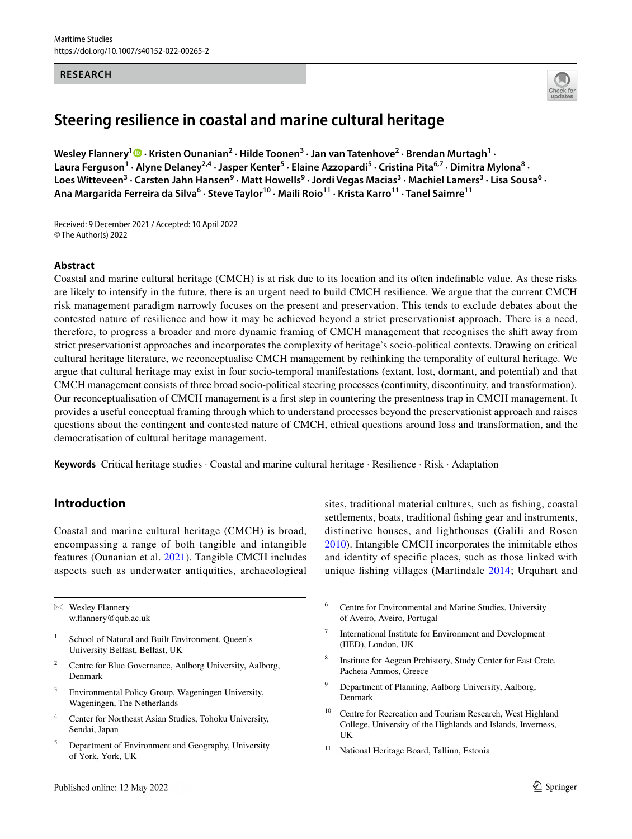#### **RESEARCH**



# **Steering resilience in coastal and marine cultural heritage**

**Wesley Flannery1  [·](http://orcid.org/0000-0003-0998-3851) Kristen Ounanian2 · Hilde Toonen3 · Jan van Tatenhove2 · Brendan Murtagh1 ·**  Laura Ferguson<sup>1</sup> · Alyne Delaney<sup>2,4</sup> · Jasper Kenter<sup>5</sup> · Elaine Azzopardi<sup>5</sup> · Cristina Pita<sup>6,7</sup> · Dimitra Mylona<sup>8</sup> · Loes Witteveen<sup>3</sup> · Carsten Jahn Hansen<sup>9</sup> · Matt Howells<sup>9</sup> · Jordi Vegas Macias<sup>3</sup> · Machiel Lamers<sup>3</sup> · Lisa Sousa<sup>6</sup> · Ana Margarida Ferreira da Silva<sup>6</sup> · Steve Taylor<sup>10</sup> · Maili Roio<sup>11</sup> · Krista Karro<sup>11</sup> · Tanel Saimre<sup>11</sup>

Received: 9 December 2021 / Accepted: 10 April 2022 © The Author(s) 2022

#### **Abstract**

Coastal and marine cultural heritage (CMCH) is at risk due to its location and its often indefnable value. As these risks are likely to intensify in the future, there is an urgent need to build CMCH resilience. We argue that the current CMCH risk management paradigm narrowly focuses on the present and preservation. This tends to exclude debates about the contested nature of resilience and how it may be achieved beyond a strict preservationist approach. There is a need, therefore, to progress a broader and more dynamic framing of CMCH management that recognises the shift away from strict preservationist approaches and incorporates the complexity of heritage's socio-political contexts. Drawing on critical cultural heritage literature, we reconceptualise CMCH management by rethinking the temporality of cultural heritage. We argue that cultural heritage may exist in four socio-temporal manifestations (extant, lost, dormant, and potential) and that CMCH management consists of three broad socio-political steering processes (continuity, discontinuity, and transformation). Our reconceptualisation of CMCH management is a frst step in countering the presentness trap in CMCH management. It provides a useful conceptual framing through which to understand processes beyond the preservationist approach and raises questions about the contingent and contested nature of CMCH, ethical questions around loss and transformation, and the democratisation of cultural heritage management.

**Keywords** Critical heritage studies · Coastal and marine cultural heritage · Resilience · Risk · Adaptation

# **Introduction**

Coastal and marine cultural heritage (CMCH) is broad, encompassing a range of both tangible and intangible features (Ounanian et al. [2021](#page-9-0)). Tangible CMCH includes aspects such as underwater antiquities, archaeological

 $\boxtimes$  Wesley Flannery w.fannery@qub.ac.uk

- School of Natural and Built Environment, Queen's University Belfast, Belfast, UK
- <sup>2</sup> Centre for Blue Governance, Aalborg University, Aalborg, Denmark
- <sup>3</sup> Environmental Policy Group, Wageningen University, Wageningen, The Netherlands
- <sup>4</sup> Center for Northeast Asian Studies, Tohoku University, Sendai, Japan
- <sup>5</sup> Department of Environment and Geography, University of York, York, UK

sites, traditional material cultures, such as fshing, coastal settlements, boats, traditional fshing gear and instruments, distinctive houses, and lighthouses (Galili and Rosen [2010](#page-8-0)). Intangible CMCH incorporates the inimitable ethos and identity of specifc places, such as those linked with unique fshing villages (Martindale [2014](#page-8-1); Urquhart and

- <sup>6</sup> Centre for Environmental and Marine Studies, University of Aveiro, Aveiro, Portugal
- International Institute for Environment and Development (IIED), London, UK
- Institute for Aegean Prehistory, Study Center for East Crete, Pacheia Ammos, Greece
- Department of Planning, Aalborg University, Aalborg, Denmark
- <sup>10</sup> Centre for Recreation and Tourism Research, West Highland College, University of the Highlands and Islands, Inverness, UK
- National Heritage Board, Tallinn, Estonia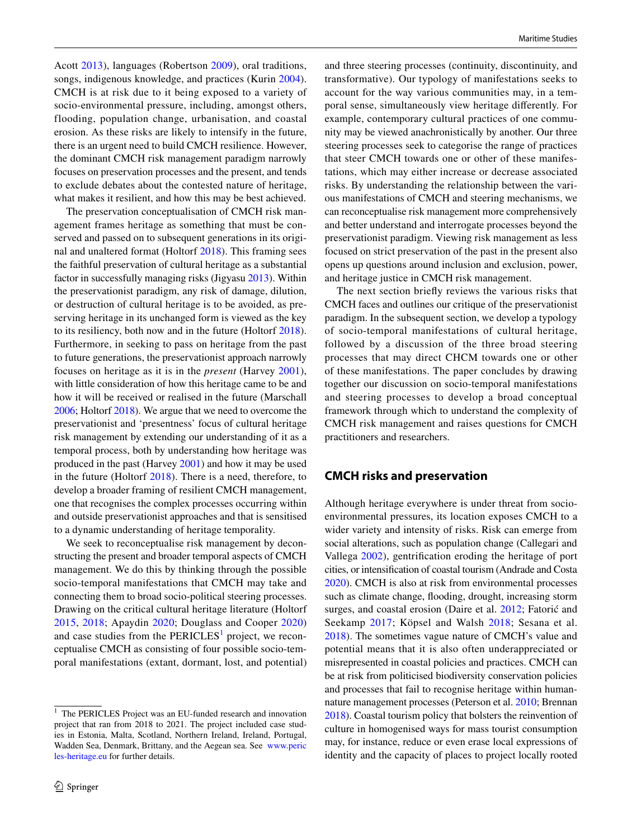Acott [2013](#page-9-1)), languages (Robertson [2009](#page-9-2)), oral traditions, songs, indigenous knowledge, and practices (Kurin [2004](#page-8-2)). CMCH is at risk due to it being exposed to a variety of socio-environmental pressure, including, amongst others, flooding, population change, urbanisation, and coastal erosion. As these risks are likely to intensify in the future, there is an urgent need to build CMCH resilience. However, the dominant CMCH risk management paradigm narrowly focuses on preservation processes and the present, and tends to exclude debates about the contested nature of heritage, what makes it resilient, and how this may be best achieved.

The preservation conceptualisation of CMCH risk management frames heritage as something that must be conserved and passed on to subsequent generations in its original and unaltered format (Holtorf [2018\)](#page-8-3). This framing sees the faithful preservation of cultural heritage as a substantial factor in successfully managing risks (Jigyasu [2013\)](#page-8-4). Within the preservationist paradigm, any risk of damage, dilution, or destruction of cultural heritage is to be avoided, as preserving heritage in its unchanged form is viewed as the key to its resiliency, both now and in the future (Holtorf [2018](#page-8-3)). Furthermore, in seeking to pass on heritage from the past to future generations, the preservationist approach narrowly focuses on heritage as it is in the *present* (Harvey [2001](#page-8-5)), with little consideration of how this heritage came to be and how it will be received or realised in the future (Marschall [2006;](#page-8-6) Holtorf [2018](#page-8-3)). We argue that we need to overcome the preservationist and 'presentness' focus of cultural heritage risk management by extending our understanding of it as a temporal process, both by understanding how heritage was produced in the past (Harvey [2001\)](#page-8-5) and how it may be used in the future (Holtorf [2018\)](#page-8-3). There is a need, therefore, to develop a broader framing of resilient CMCH management, one that recognises the complex processes occurring within and outside preservationist approaches and that is sensitised to a dynamic understanding of heritage temporality.

We seek to reconceptualise risk management by deconstructing the present and broader temporal aspects of CMCH management. We do this by thinking through the possible socio-temporal manifestations that CMCH may take and connecting them to broad socio-political steering processes. Drawing on the critical cultural heritage literature (Holtorf [2015,](#page-8-7) [2018;](#page-8-3) Apaydin [2020](#page-7-0); Douglass and Cooper [2020\)](#page-8-8) and case studies from the  $PERICLES<sup>1</sup>$  $PERICLES<sup>1</sup>$  $PERICLES<sup>1</sup>$  project, we reconceptualise CMCH as consisting of four possible socio-temporal manifestations (extant, dormant, lost, and potential) and three steering processes (continuity, discontinuity, and transformative). Our typology of manifestations seeks to account for the way various communities may, in a temporal sense, simultaneously view heritage diferently. For example, contemporary cultural practices of one community may be viewed anachronistically by another. Our three steering processes seek to categorise the range of practices that steer CMCH towards one or other of these manifestations, which may either increase or decrease associated risks. By understanding the relationship between the various manifestations of CMCH and steering mechanisms, we can reconceptualise risk management more comprehensively and better understand and interrogate processes beyond the preservationist paradigm. Viewing risk management as less focused on strict preservation of the past in the present also opens up questions around inclusion and exclusion, power, and heritage justice in CMCH risk management.

The next section briefy reviews the various risks that CMCH faces and outlines our critique of the preservationist paradigm. In the subsequent section, we develop a typology of socio-temporal manifestations of cultural heritage, followed by a discussion of the three broad steering processes that may direct CHCM towards one or other of these manifestations. The paper concludes by drawing together our discussion on socio-temporal manifestations and steering processes to develop a broad conceptual framework through which to understand the complexity of CMCH risk management and raises questions for CMCH practitioners and researchers.

## **CMCH risks and preservation**

Although heritage everywhere is under threat from socioenvironmental pressures, its location exposes CMCH to a wider variety and intensity of risks. Risk can emerge from social alterations, such as population change (Callegari and Vallega [2002\)](#page-8-9), gentrifcation eroding the heritage of port cities, or intensifcation of coastal tourism (Andrade and Costa [2020](#page-7-1)). CMCH is also at risk from environmental processes such as climate change, fooding, drought, increasing storm surges, and coastal erosion (Daire et al. [2012;](#page-8-10) Fatorić and Seekamp [2017;](#page-8-11) Köpsel and Walsh [2018;](#page-8-12) Sesana et al. [2018](#page-9-3)). The sometimes vague nature of CMCH's value and potential means that it is also often underappreciated or misrepresented in coastal policies and practices. CMCH can be at risk from politicised biodiversity conservation policies and processes that fail to recognise heritage within humannature management processes (Peterson et al. [2010;](#page-9-4) Brennan [2018\)](#page-8-13). Coastal tourism policy that bolsters the reinvention of culture in homogenised ways for mass tourist consumption may, for instance, reduce or even erase local expressions of identity and the capacity of places to project locally rooted

<span id="page-1-0"></span><sup>&</sup>lt;sup>1</sup> The PERICLES Project was an EU-funded research and innovation project that ran from 2018 to 2021. The project included case studies in Estonia, Malta, Scotland, Northern Ireland, Ireland, Portugal, Wadden Sea, Denmark, Brittany, and the Aegean sea. See [www.peric](https://www.pericles-heritage.eu) [les-heritage.eu](https://www.pericles-heritage.eu) for further details.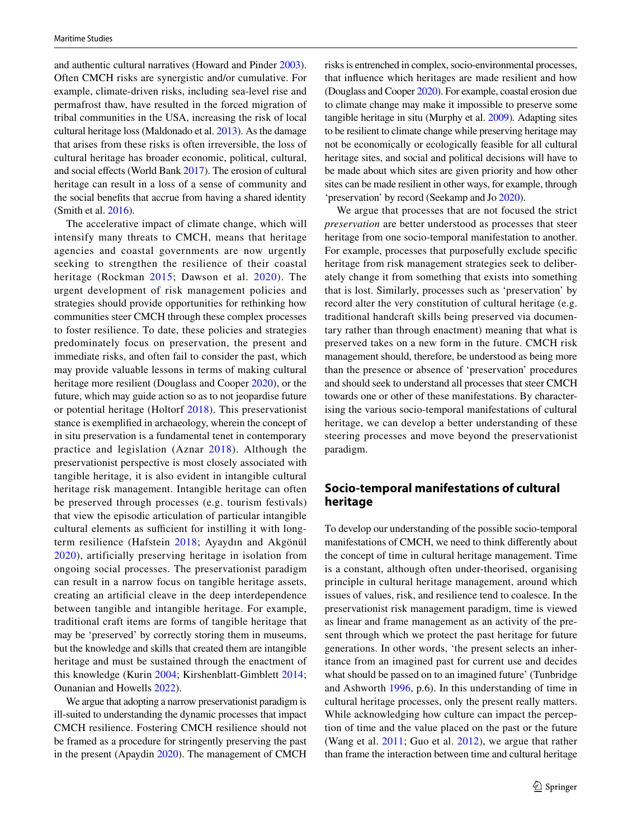and authentic cultural narratives (Howard and Pinder [2003](#page-8-14)). Often CMCH risks are synergistic and/or cumulative. For example, climate-driven risks, including sea-level rise and permafrost thaw, have resulted in the forced migration of tribal communities in the USA, increasing the risk of local cultural heritage loss (Maldonado et al. [2013\)](#page-8-15). As the damage that arises from these risks is often irreversible, the loss of cultural heritage has broader economic, political, cultural, and social efects (World Bank [2017\)](#page-9-5). The erosion of cultural heritage can result in a loss of a sense of community and the social benefts that accrue from having a shared identity (Smith et al. [2016](#page-9-6)).

The accelerative impact of climate change, which will intensify many threats to CMCH, means that heritage agencies and coastal governments are now urgently seeking to strengthen the resilience of their coastal heritage (Rockman [2015](#page-9-7); Dawson et al. [2020](#page-8-16)). The urgent development of risk management policies and strategies should provide opportunities for rethinking how communities steer CMCH through these complex processes to foster resilience. To date, these policies and strategies predominately focus on preservation, the present and immediate risks, and often fail to consider the past, which may provide valuable lessons in terms of making cultural heritage more resilient (Douglass and Cooper [2020](#page-8-8)), or the future, which may guide action so as to not jeopardise future or potential heritage (Holtorf [2018](#page-8-3)). This preservationist stance is exemplifed in archaeology, wherein the concept of in situ preservation is a fundamental tenet in contemporary practice and legislation (Aznar [2018\)](#page-8-17). Although the preservationist perspective is most closely associated with tangible heritage, it is also evident in intangible cultural heritage risk management. Intangible heritage can often be preserved through processes (e.g. tourism festivals) that view the episodic articulation of particular intangible cultural elements as sufficient for instilling it with longterm resilience (Hafstein [2018](#page-8-18); Ayaydın and Akgönül [2020](#page-8-19)), artificially preserving heritage in isolation from ongoing social processes. The preservationist paradigm can result in a narrow focus on tangible heritage assets, creating an artifcial cleave in the deep interdependence between tangible and intangible heritage. For example, traditional craft items are forms of tangible heritage that may be 'preserved' by correctly storing them in museums, but the knowledge and skills that created them are intangible heritage and must be sustained through the enactment of this knowledge (Kurin [2004;](#page-8-2) Kirshenblatt-Gimblett [2014](#page-8-20); Ounanian and Howells [2022\)](#page-9-8).

We argue that adopting a narrow preservationist paradigm is ill-suited to understanding the dynamic processes that impact CMCH resilience. Fostering CMCH resilience should not be framed as a procedure for stringently preserving the past in the present (Apaydin [2020](#page-7-0)). The management of CMCH risks is entrenched in complex, socio-environmental processes, that infuence which heritages are made resilient and how (Douglass and Cooper [2020](#page-8-8)). For example, coastal erosion due to climate change may make it impossible to preserve some tangible heritage in situ (Murphy et al. [2009\)](#page-9-9)*.* Adapting sites to be resilient to climate change while preserving heritage may not be economically or ecologically feasible for all cultural heritage sites, and social and political decisions will have to be made about which sites are given priority and how other sites can be made resilient in other ways, for example, through 'preservation' by record (Seekamp and Jo [2020\)](#page-9-10).

We argue that processes that are not focused the strict *preservation* are better understood as processes that steer heritage from one socio-temporal manifestation to another. For example, processes that purposefully exclude specifc heritage from risk management strategies seek to deliberately change it from something that exists into something that is lost. Similarly, processes such as 'preservation' by record alter the very constitution of cultural heritage (e.g. traditional handcraft skills being preserved via documentary rather than through enactment) meaning that what is preserved takes on a new form in the future. CMCH risk management should, therefore, be understood as being more than the presence or absence of 'preservation' procedures and should seek to understand all processes that steer CMCH towards one or other of these manifestations. By characterising the various socio-temporal manifestations of cultural heritage, we can develop a better understanding of these steering processes and move beyond the preservationist paradigm.

# **Socio‑temporal manifestations of cultural heritage**

To develop our understanding of the possible socio-temporal manifestations of CMCH, we need to think diferently about the concept of time in cultural heritage management. Time is a constant, although often under-theorised, organising principle in cultural heritage management, around which issues of values, risk, and resilience tend to coalesce. In the preservationist risk management paradigm, time is viewed as linear and frame management as an activity of the present through which we protect the past heritage for future generations. In other words, 'the present selects an inheritance from an imagined past for current use and decides what should be passed on to an imagined future' (Tunbridge and Ashworth [1996](#page-9-11), p.6). In this understanding of time in cultural heritage processes, only the present really matters. While acknowledging how culture can impact the perception of time and the value placed on the past or the future (Wang et al. [2011;](#page-9-12) Guo et al. [2012\)](#page-8-21), we argue that rather than frame the interaction between time and cultural heritage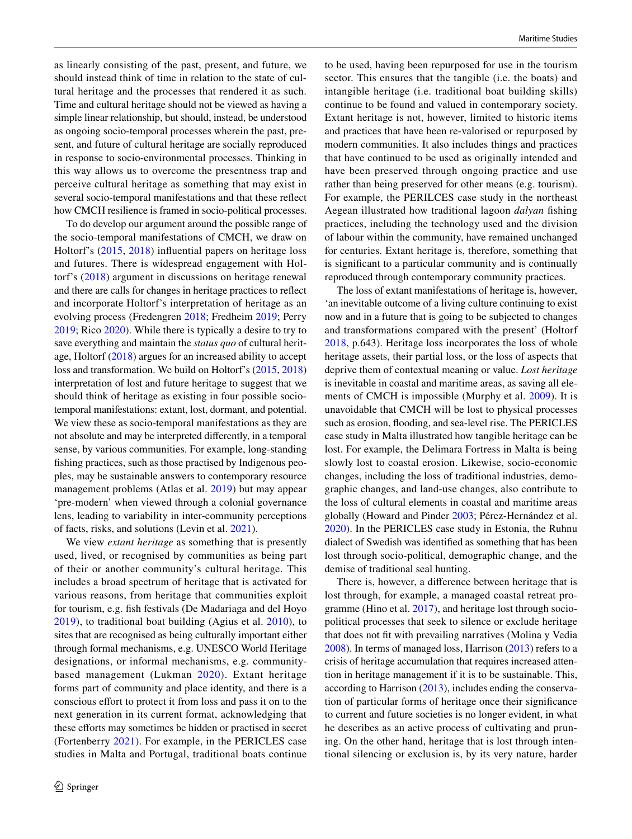as linearly consisting of the past, present, and future, we should instead think of time in relation to the state of cultural heritage and the processes that rendered it as such. Time and cultural heritage should not be viewed as having a simple linear relationship, but should, instead, be understood as ongoing socio-temporal processes wherein the past, present, and future of cultural heritage are socially reproduced in response to socio-environmental processes. Thinking in this way allows us to overcome the presentness trap and perceive cultural heritage as something that may exist in several socio-temporal manifestations and that these refect how CMCH resilience is framed in socio-political processes.

To do develop our argument around the possible range of the socio-temporal manifestations of CMCH, we draw on Holtorf's [\(2015,](#page-8-7) [2018](#page-8-3)) infuential papers on heritage loss and futures. There is widespread engagement with Holtorf's [\(2018\)](#page-8-3) argument in discussions on heritage renewal and there are calls for changes in heritage practices to refect and incorporate Holtorf's interpretation of heritage as an evolving process (Fredengren [2018](#page-8-22); Fredheim [2019](#page-8-23); Perry [2019](#page-9-13); Rico [2020](#page-9-14)). While there is typically a desire to try to save everything and maintain the *status quo* of cultural heritage, Holtorf [\(2018](#page-8-3)) argues for an increased ability to accept loss and transformation. We build on Holtorf's [\(2015](#page-8-7), [2018\)](#page-8-3) interpretation of lost and future heritage to suggest that we should think of heritage as existing in four possible sociotemporal manifestations: extant, lost, dormant, and potential. We view these as socio-temporal manifestations as they are not absolute and may be interpreted diferently, in a temporal sense, by various communities. For example, long-standing fshing practices, such as those practised by Indigenous peoples, may be sustainable answers to contemporary resource management problems (Atlas et al. [2019](#page-7-2)) but may appear 'pre-modern' when viewed through a colonial governance lens, leading to variability in inter-community perceptions of facts, risks, and solutions (Levin et al. [2021](#page-8-24)).

We view *extant heritage* as something that is presently used, lived, or recognised by communities as being part of their or another community's cultural heritage. This includes a broad spectrum of heritage that is activated for various reasons, from heritage that communities exploit for tourism, e.g. fsh festivals (De Madariaga and del Hoyo [2019\)](#page-8-25), to traditional boat building (Agius et al. [2010](#page-7-3)), to sites that are recognised as being culturally important either through formal mechanisms, e.g. UNESCO World Heritage designations, or informal mechanisms, e.g. communitybased management (Lukman [2020\)](#page-8-26). Extant heritage forms part of community and place identity, and there is a conscious efort to protect it from loss and pass it on to the next generation in its current format, acknowledging that these efforts may sometimes be hidden or practised in secret (Fortenberry [2021\)](#page-8-27). For example, in the PERICLES case studies in Malta and Portugal, traditional boats continue

to be used, having been repurposed for use in the tourism sector. This ensures that the tangible (i.e. the boats) and intangible heritage (i.e. traditional boat building skills) continue to be found and valued in contemporary society. Extant heritage is not, however, limited to historic items and practices that have been re-valorised or repurposed by modern communities. It also includes things and practices that have continued to be used as originally intended and have been preserved through ongoing practice and use rather than being preserved for other means (e.g. tourism). For example, the PERILCES case study in the northeast Aegean illustrated how traditional lagoon *dalyan* fshing practices, including the technology used and the division of labour within the community, have remained unchanged for centuries. Extant heritage is, therefore, something that is signifcant to a particular community and is continually reproduced through contemporary community practices.

The loss of extant manifestations of heritage is, however, 'an inevitable outcome of a living culture continuing to exist now and in a future that is going to be subjected to changes and transformations compared with the present' (Holtorf [2018](#page-8-3), p.643). Heritage loss incorporates the loss of whole heritage assets, their partial loss, or the loss of aspects that deprive them of contextual meaning or value. *Lost heritage* is inevitable in coastal and maritime areas, as saving all elements of CMCH is impossible (Murphy et al. [2009](#page-9-9)). It is unavoidable that CMCH will be lost to physical processes such as erosion, fooding, and sea-level rise. The PERICLES case study in Malta illustrated how tangible heritage can be lost. For example, the Delimara Fortress in Malta is being slowly lost to coastal erosion. Likewise, socio-economic changes, including the loss of traditional industries, demographic changes, and land-use changes, also contribute to the loss of cultural elements in coastal and maritime areas globally (Howard and Pinder [2003;](#page-8-14) Pérez-Hernández et al. [2020](#page-9-15)). In the PERICLES case study in Estonia, the Ruhnu dialect of Swedish was identifed as something that has been lost through socio-political, demographic change, and the demise of traditional seal hunting.

There is, however, a diference between heritage that is lost through, for example, a managed coastal retreat programme (Hino et al. [2017](#page-8-28)), and heritage lost through sociopolitical processes that seek to silence or exclude heritage that does not ft with prevailing narratives (Molina y Vedia [2008](#page-9-16)). In terms of managed loss, Harrison ([2013\)](#page-8-29) refers to a crisis of heritage accumulation that requires increased attention in heritage management if it is to be sustainable. This, according to Harrison [\(2013](#page-8-29)), includes ending the conservation of particular forms of heritage once their signifcance to current and future societies is no longer evident, in what he describes as an active process of cultivating and pruning. On the other hand, heritage that is lost through intentional silencing or exclusion is, by its very nature, harder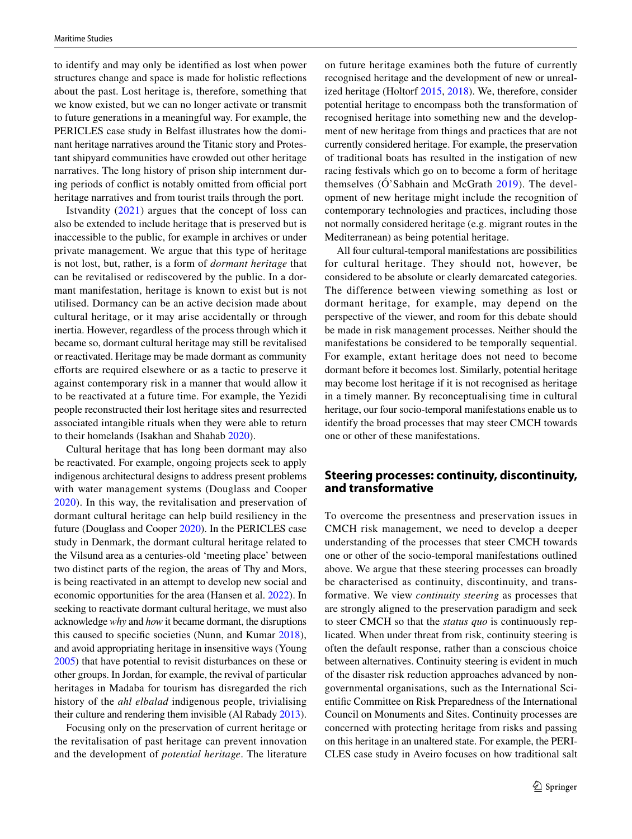to identify and may only be identifed as lost when power structures change and space is made for holistic refections about the past. Lost heritage is, therefore, something that we know existed, but we can no longer activate or transmit to future generations in a meaningful way. For example, the PERICLES case study in Belfast illustrates how the dominant heritage narratives around the Titanic story and Protestant shipyard communities have crowded out other heritage narratives. The long history of prison ship internment during periods of conflict is notably omitted from official port heritage narratives and from tourist trails through the port.

Istvandity [\(2021](#page-8-30)) argues that the concept of loss can also be extended to include heritage that is preserved but is inaccessible to the public, for example in archives or under private management. We argue that this type of heritage is not lost, but, rather, is a form of *dormant heritage* that can be revitalised or rediscovered by the public. In a dormant manifestation, heritage is known to exist but is not utilised. Dormancy can be an active decision made about cultural heritage, or it may arise accidentally or through inertia. However, regardless of the process through which it became so, dormant cultural heritage may still be revitalised or reactivated. Heritage may be made dormant as community efforts are required elsewhere or as a tactic to preserve it against contemporary risk in a manner that would allow it to be reactivated at a future time. For example, the Yezidi people reconstructed their lost heritage sites and resurrected associated intangible rituals when they were able to return to their homelands (Isakhan and Shahab [2020](#page-8-31)).

Cultural heritage that has long been dormant may also be reactivated. For example, ongoing projects seek to apply indigenous architectural designs to address present problems with water management systems (Douglass and Cooper [2020\)](#page-8-8). In this way, the revitalisation and preservation of dormant cultural heritage can help build resiliency in the future (Douglass and Cooper [2020](#page-8-8)). In the PERICLES case study in Denmark, the dormant cultural heritage related to the Vilsund area as a centuries-old 'meeting place' between two distinct parts of the region, the areas of Thy and Mors, is being reactivated in an attempt to develop new social and economic opportunities for the area (Hansen et al. [2022\)](#page-8-32). In seeking to reactivate dormant cultural heritage, we must also acknowledge *why* and *how* it became dormant, the disruptions this caused to specifc societies (Nunn, and Kumar [2018](#page-9-17)), and avoid appropriating heritage in insensitive ways (Young [2005](#page-9-18)) that have potential to revisit disturbances on these or other groups. In Jordan, for example, the revival of particular heritages in Madaba for tourism has disregarded the rich history of the *ahl elbalad* indigenous people, trivialising their culture and rendering them invisible (Al Rabady [2013](#page-7-4)).

Focusing only on the preservation of current heritage or the revitalisation of past heritage can prevent innovation and the development of *potential heritage*. The literature on future heritage examines both the future of currently recognised heritage and the development of new or unrealized heritage (Holtorf [2015,](#page-8-7) [2018\)](#page-8-3). We, therefore, consider potential heritage to encompass both the transformation of recognised heritage into something new and the development of new heritage from things and practices that are not currently considered heritage. For example, the preservation of traditional boats has resulted in the instigation of new racing festivals which go on to become a form of heritage themselves (Ó'Sabhain and McGrath [2019\)](#page-9-19). The development of new heritage might include the recognition of contemporary technologies and practices, including those not normally considered heritage (e.g. migrant routes in the Mediterranean) as being potential heritage.

All four cultural-temporal manifestations are possibilities for cultural heritage. They should not, however, be considered to be absolute or clearly demarcated categories. The difference between viewing something as lost or dormant heritage, for example, may depend on the perspective of the viewer, and room for this debate should be made in risk management processes. Neither should the manifestations be considered to be temporally sequential. For example, extant heritage does not need to become dormant before it becomes lost. Similarly, potential heritage may become lost heritage if it is not recognised as heritage in a timely manner. By reconceptualising time in cultural heritage, our four socio-temporal manifestations enable us to identify the broad processes that may steer CMCH towards one or other of these manifestations.

## **Steering processes: continuity, discontinuity, and transformative**

To overcome the presentness and preservation issues in CMCH risk management, we need to develop a deeper understanding of the processes that steer CMCH towards one or other of the socio-temporal manifestations outlined above. We argue that these steering processes can broadly be characterised as continuity, discontinuity, and transformative. We view *continuity steering* as processes that are strongly aligned to the preservation paradigm and seek to steer CMCH so that the *status quo* is continuously replicated. When under threat from risk, continuity steering is often the default response, rather than a conscious choice between alternatives. Continuity steering is evident in much of the disaster risk reduction approaches advanced by nongovernmental organisations, such as the International Scientifc Committee on Risk Preparedness of the International Council on Monuments and Sites. Continuity processes are concerned with protecting heritage from risks and passing on this heritage in an unaltered state. For example, the PERI-CLES case study in Aveiro focuses on how traditional salt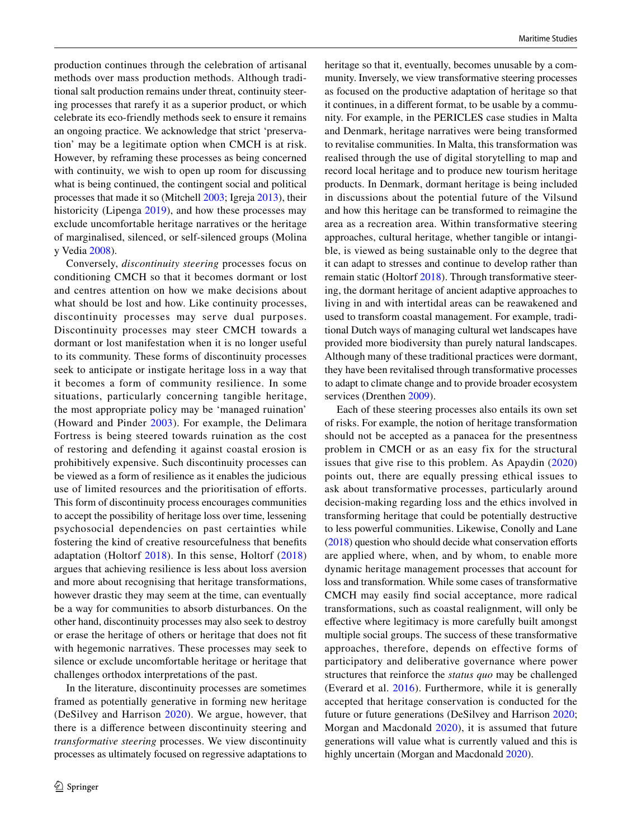production continues through the celebration of artisanal methods over mass production methods. Although traditional salt production remains under threat, continuity steering processes that rarefy it as a superior product, or which celebrate its eco-friendly methods seek to ensure it remains an ongoing practice. We acknowledge that strict 'preservation' may be a legitimate option when CMCH is at risk. However, by reframing these processes as being concerned with continuity, we wish to open up room for discussing what is being continued, the contingent social and political processes that made it so (Mitchell [2003;](#page-9-20) Igreja [2013\)](#page-8-33), their historicity (Lipenga [2019](#page-8-34)), and how these processes may exclude uncomfortable heritage narratives or the heritage of marginalised, silenced, or self-silenced groups (Molina y Vedia [2008\)](#page-9-16).

Conversely, *discontinuity steering* processes focus on conditioning CMCH so that it becomes dormant or lost and centres attention on how we make decisions about what should be lost and how. Like continuity processes, discontinuity processes may serve dual purposes. Discontinuity processes may steer CMCH towards a dormant or lost manifestation when it is no longer useful to its community. These forms of discontinuity processes seek to anticipate or instigate heritage loss in a way that it becomes a form of community resilience. In some situations, particularly concerning tangible heritage, the most appropriate policy may be 'managed ruination' (Howard and Pinder [2003](#page-8-14)). For example, the Delimara Fortress is being steered towards ruination as the cost of restoring and defending it against coastal erosion is prohibitively expensive. Such discontinuity processes can be viewed as a form of resilience as it enables the judicious use of limited resources and the prioritisation of eforts. This form of discontinuity process encourages communities to accept the possibility of heritage loss over time, lessening psychosocial dependencies on past certainties while fostering the kind of creative resourcefulness that benefts adaptation (Holtorf [2018](#page-8-3)). In this sense, Holtorf ([2018\)](#page-8-3) argues that achieving resilience is less about loss aversion and more about recognising that heritage transformations, however drastic they may seem at the time, can eventually be a way for communities to absorb disturbances. On the other hand, discontinuity processes may also seek to destroy or erase the heritage of others or heritage that does not ft with hegemonic narratives. These processes may seek to silence or exclude uncomfortable heritage or heritage that challenges orthodox interpretations of the past.

In the literature, discontinuity processes are sometimes framed as potentially generative in forming new heritage (DeSilvey and Harrison [2020](#page-8-35)). We argue, however, that there is a diference between discontinuity steering and *transformative steering* processes. We view discontinuity processes as ultimately focused on regressive adaptations to heritage so that it, eventually, becomes unusable by a community. Inversely, we view transformative steering processes as focused on the productive adaptation of heritage so that it continues, in a diferent format, to be usable by a community. For example, in the PERICLES case studies in Malta and Denmark, heritage narratives were being transformed to revitalise communities. In Malta, this transformation was realised through the use of digital storytelling to map and record local heritage and to produce new tourism heritage products. In Denmark, dormant heritage is being included in discussions about the potential future of the Vilsund and how this heritage can be transformed to reimagine the area as a recreation area. Within transformative steering approaches, cultural heritage, whether tangible or intangible, is viewed as being sustainable only to the degree that it can adapt to stresses and continue to develop rather than remain static (Holtorf [2018](#page-8-3)). Through transformative steering, the dormant heritage of ancient adaptive approaches to living in and with intertidal areas can be reawakened and used to transform coastal management. For example, traditional Dutch ways of managing cultural wet landscapes have provided more biodiversity than purely natural landscapes. Although many of these traditional practices were dormant, they have been revitalised through transformative processes to adapt to climate change and to provide broader ecosystem services (Drenthen [2009](#page-8-36)).

Each of these steering processes also entails its own set of risks. For example, the notion of heritage transformation should not be accepted as a panacea for the presentness problem in CMCH or as an easy fix for the structural issues that give rise to this problem. As Apaydin ([2020\)](#page-7-0) points out, there are equally pressing ethical issues to ask about transformative processes, particularly around decision-making regarding loss and the ethics involved in transforming heritage that could be potentially destructive to less powerful communities. Likewise, Conolly and Lane  $(2018)$  $(2018)$  question who should decide what conservation efforts are applied where, when, and by whom, to enable more dynamic heritage management processes that account for loss and transformation. While some cases of transformative CMCH may easily fnd social acceptance, more radical transformations, such as coastal realignment, will only be efective where legitimacy is more carefully built amongst multiple social groups. The success of these transformative approaches, therefore, depends on effective forms of participatory and deliberative governance where power structures that reinforce the *status quo* may be challenged (Everard et al. [2016](#page-8-38)). Furthermore, while it is generally accepted that heritage conservation is conducted for the future or future generations (DeSilvey and Harrison [2020](#page-8-35); Morgan and Macdonald [2020\)](#page-9-21), it is assumed that future generations will value what is currently valued and this is highly uncertain (Morgan and Macdonald [2020](#page-9-21)).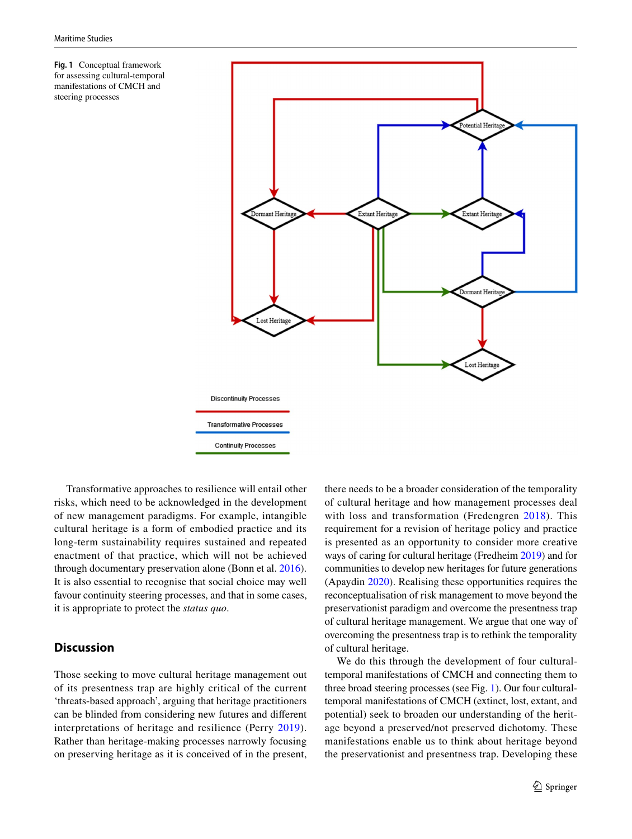<span id="page-6-0"></span>**Fig. 1** Conceptual framework for assessing cultural-temporal manifestations of CMCH and steering processes



Transformative approaches to resilience will entail other risks, which need to be acknowledged in the development of new management paradigms. For example, intangible cultural heritage is a form of embodied practice and its long-term sustainability requires sustained and repeated enactment of that practice, which will not be achieved through documentary preservation alone (Bonn et al. [2016](#page-8-39)). It is also essential to recognise that social choice may well favour continuity steering processes, and that in some cases, it is appropriate to protect the *status quo*.

## **Discussion**

Those seeking to move cultural heritage management out of its presentness trap are highly critical of the current 'threats-based approach', arguing that heritage practitioners can be blinded from considering new futures and diferent interpretations of heritage and resilience (Perry [2019](#page-9-13)). Rather than heritage-making processes narrowly focusing on preserving heritage as it is conceived of in the present,

there needs to be a broader consideration of the temporality of cultural heritage and how management processes deal with loss and transformation (Fredengren [2018\)](#page-8-22). This requirement for a revision of heritage policy and practice is presented as an opportunity to consider more creative ways of caring for cultural heritage (Fredheim [2019\)](#page-8-23) and for communities to develop new heritages for future generations (Apaydin [2020](#page-7-0)). Realising these opportunities requires the reconceptualisation of risk management to move beyond the preservationist paradigm and overcome the presentness trap of cultural heritage management. We argue that one way of overcoming the presentness trap is to rethink the temporality of cultural heritage.

We do this through the development of four culturaltemporal manifestations of CMCH and connecting them to three broad steering processes (see Fig. [1](#page-6-0)). Our four culturaltemporal manifestations of CMCH (extinct, lost, extant, and potential) seek to broaden our understanding of the heritage beyond a preserved/not preserved dichotomy. These manifestations enable us to think about heritage beyond the preservationist and presentness trap. Developing these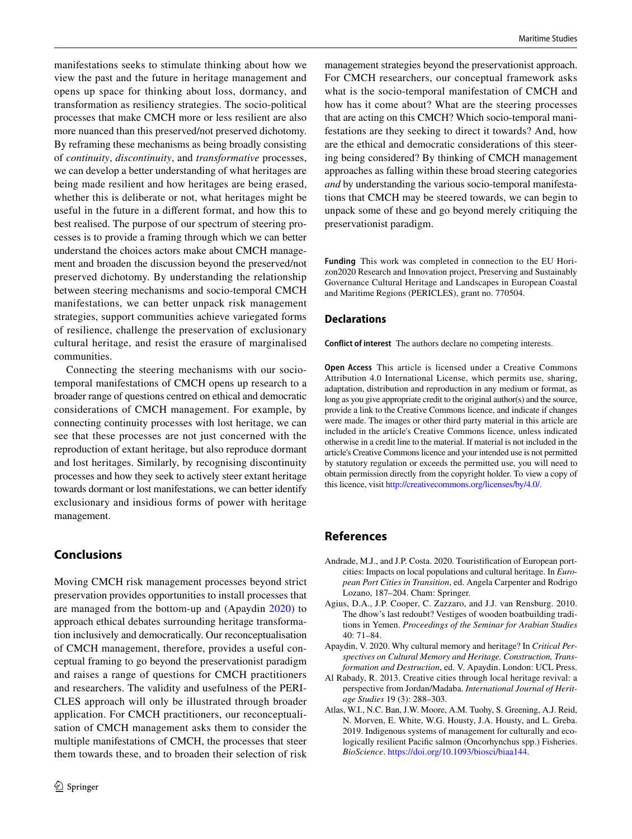manifestations seeks to stimulate thinking about how we view the past and the future in heritage management and opens up space for thinking about loss, dormancy, and transformation as resiliency strategies. The socio-political processes that make CMCH more or less resilient are also more nuanced than this preserved/not preserved dichotomy. By reframing these mechanisms as being broadly consisting of *continuity*, *discontinuity*, and *transformative* processes, we can develop a better understanding of what heritages are being made resilient and how heritages are being erased, whether this is deliberate or not, what heritages might be useful in the future in a diferent format, and how this to best realised. The purpose of our spectrum of steering processes is to provide a framing through which we can better understand the choices actors make about CMCH management and broaden the discussion beyond the preserved/not preserved dichotomy. By understanding the relationship between steering mechanisms and socio-temporal CMCH manifestations, we can better unpack risk management strategies, support communities achieve variegated forms of resilience, challenge the preservation of exclusionary cultural heritage, and resist the erasure of marginalised communities.

Connecting the steering mechanisms with our sociotemporal manifestations of CMCH opens up research to a broader range of questions centred on ethical and democratic considerations of CMCH management. For example, by connecting continuity processes with lost heritage, we can see that these processes are not just concerned with the reproduction of extant heritage, but also reproduce dormant and lost heritages. Similarly, by recognising discontinuity processes and how they seek to actively steer extant heritage towards dormant or lost manifestations, we can better identify exclusionary and insidious forms of power with heritage management.

# **Conclusions**

Moving CMCH risk management processes beyond strict preservation provides opportunities to install processes that are managed from the bottom-up and (Apaydin [2020](#page-7-0)) to approach ethical debates surrounding heritage transformation inclusively and democratically. Our reconceptualisation of CMCH management, therefore, provides a useful conceptual framing to go beyond the preservationist paradigm and raises a range of questions for CMCH practitioners and researchers. The validity and usefulness of the PERI-CLES approach will only be illustrated through broader application. For CMCH practitioners, our reconceptualisation of CMCH management asks them to consider the multiple manifestations of CMCH, the processes that steer them towards these, and to broaden their selection of risk

management strategies beyond the preservationist approach. For CMCH researchers, our conceptual framework asks what is the socio-temporal manifestation of CMCH and how has it come about? What are the steering processes that are acting on this CMCH? Which socio-temporal manifestations are they seeking to direct it towards? And, how are the ethical and democratic considerations of this steering being considered? By thinking of CMCH management approaches as falling within these broad steering categories *and* by understanding the various socio-temporal manifestations that CMCH may be steered towards, we can begin to unpack some of these and go beyond merely critiquing the preservationist paradigm.

**Funding** This work was completed in connection to the EU Horizon2020 Research and Innovation project, Preserving and Sustainably Governance Cultural Heritage and Landscapes in European Coastal and Maritime Regions (PERICLES), grant no. 770504.

#### **Declarations**

**Conflict of interest** The authors declare no competing interests.

**Open Access** This article is licensed under a Creative Commons Attribution 4.0 International License, which permits use, sharing, adaptation, distribution and reproduction in any medium or format, as long as you give appropriate credit to the original author(s) and the source, provide a link to the Creative Commons licence, and indicate if changes were made. The images or other third party material in this article are included in the article's Creative Commons licence, unless indicated otherwise in a credit line to the material. If material is not included in the article's Creative Commons licence and your intended use is not permitted by statutory regulation or exceeds the permitted use, you will need to obtain permission directly from the copyright holder. To view a copy of this licence, visit [http://creativecommons.org/licenses/by/4.0/.](http://creativecommons.org/licenses/by/4.0/)

## **References**

- <span id="page-7-1"></span>Andrade, M.J., and J.P. Costa. 2020. Touristifcation of European portcities: Impacts on local populations and cultural heritage. In *European Port Cities in Transition*, ed. Angela Carpenter and Rodrigo Lozano, 187–204. Cham: Springer.
- <span id="page-7-3"></span>Agius, D.A., J.P. Cooper, C. Zazzaro, and J.J. van Rensburg. 2010. The dhow's last redoubt? Vestiges of wooden boatbuilding traditions in Yemen. *Proceedings of the Seminar for Arabian Studies* 40: 71–84.
- <span id="page-7-0"></span>Apaydin, V. 2020. Why cultural memory and heritage? In *Critical Perspectives on Cultural Memory and Heritage. Construction, Transformation and Destruction*, ed. V. Apaydin. London: UCL Press.
- <span id="page-7-4"></span>Al Rabady, R. 2013. Creative cities through local heritage revival: a perspective from Jordan/Madaba. *International Journal of Heritage Studies* 19 (3): 288–303.
- <span id="page-7-2"></span>Atlas, W.I., N.C. Ban, J.W. Moore, A.M. Tuohy, S. Greening, A.J. Reid, N. Morven, E. White, W.G. Housty, J.A. Housty, and L. Greba. 2019. Indigenous systems of management for culturally and ecologically resilient Pacifc salmon (Oncorhynchus spp.) Fisheries. *BioScience*. [https://doi.org/10.1093/biosci/biaa144.](https://doi.org/10.1093/biosci/biaa144)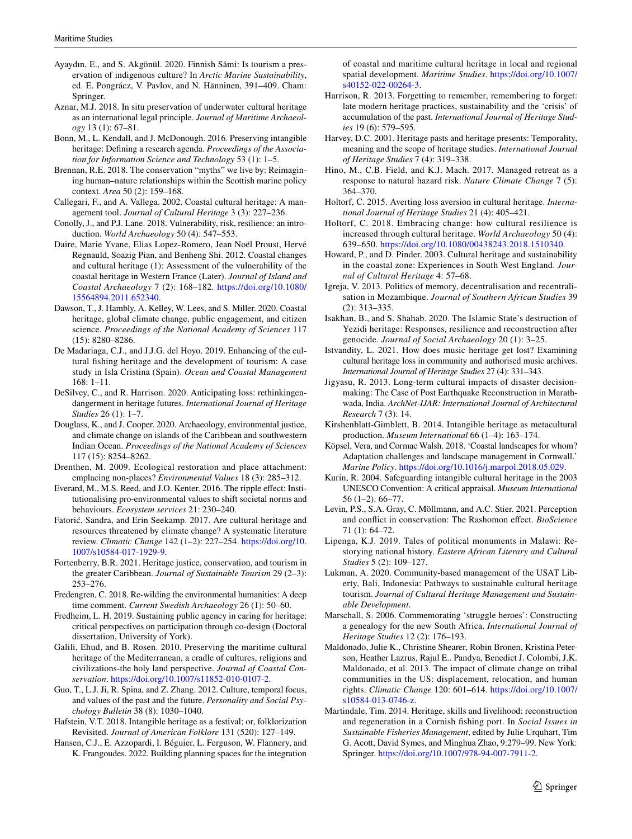- <span id="page-8-19"></span>Ayaydın, E., and S. Akgönül. 2020. Finnish Sámi: Is tourism a preservation of indigenous culture? In *Arctic Marine Sustainability*, ed. E. Pongrácz, V. Pavlov, and N. Hänninen, 391–409. Cham: Springer.
- <span id="page-8-17"></span>Aznar, M.J. 2018. In situ preservation of underwater cultural heritage as an international legal principle. *Journal of Maritime Archaeology* 13 (1): 67–81.
- <span id="page-8-39"></span>Bonn, M., L. Kendall, and J. McDonough. 2016. Preserving intangible heritage: Defning a research agenda. *Proceedings of the Association for Information Science and Technology* 53 (1): 1–5.
- <span id="page-8-13"></span>Brennan, R.E. 2018. The conservation "myths" we live by: Reimagining human–nature relationships within the Scottish marine policy context. *Area* 50 (2): 159–168.
- <span id="page-8-9"></span>Callegari, F., and A. Vallega. 2002. Coastal cultural heritage: A management tool. *Journal of Cultural Heritage* 3 (3): 227–236.
- <span id="page-8-37"></span>Conolly, J., and P.J. Lane. 2018. Vulnerability, risk, resilience: an introduction. *World Archaeology* 50 (4): 547–553.
- <span id="page-8-10"></span>Daire, Marie Yvane, Elias Lopez-Romero, Jean Noël Proust, Hervé Regnauld, Soazig Pian, and Benheng Shi. 2012. Coastal changes and cultural heritage (1): Assessment of the vulnerability of the coastal heritage in Western France (Later). *Journal of Island and Coastal Archaeology* 7 (2): 168–182. [https://doi.org/10.1080/](https://doi.org/10.1080/15564894.2011.652340) [15564894.2011.652340.](https://doi.org/10.1080/15564894.2011.652340)
- <span id="page-8-16"></span>Dawson, T., J. Hambly, A. Kelley, W. Lees, and S. Miller. 2020. Coastal heritage, global climate change, public engagement, and citizen science. *Proceedings of the National Academy of Sciences* 117 (15): 8280–8286.
- <span id="page-8-25"></span>De Madariaga, C.J., and J.J.G. del Hoyo. 2019. Enhancing of the cultural fshing heritage and the development of tourism: A case study in Isla Cristina (Spain). *Ocean and Coastal Management* 168: 1–11.
- <span id="page-8-35"></span>DeSilvey, C., and R. Harrison. 2020. Anticipating loss: rethinkingendangerment in heritage futures. *International Journal of Heritage Studies* 26 (1): 1–7.
- <span id="page-8-8"></span>Douglass, K., and J. Cooper. 2020. Archaeology, environmental justice, and climate change on islands of the Caribbean and southwestern Indian Ocean. *Proceedings of the National Academy of Sciences* 117 (15): 8254–8262.
- <span id="page-8-36"></span>Drenthen, M. 2009. Ecological restoration and place attachment: emplacing non-places? *Environmental Values* 18 (3): 285–312.
- <span id="page-8-38"></span>Everard, M., M.S. Reed, and J.O. Kenter. 2016. The ripple efect: Institutionalising pro-environmental values to shift societal norms and behaviours. *Ecosystem services* 21: 230–240.
- <span id="page-8-11"></span>Fatorić, Sandra, and Erin Seekamp. 2017. Are cultural heritage and resources threatened by climate change? A systematic literature review. *Climatic Change* 142 (1–2): 227–254. [https://doi.org/10.](https://doi.org/10.1007/s10584-017-1929-9) [1007/s10584-017-1929-9](https://doi.org/10.1007/s10584-017-1929-9).
- <span id="page-8-27"></span>Fortenberry, B.R. 2021. Heritage justice, conservation, and tourism in the greater Caribbean. *Journal of Sustainable Tourism* 29 (2–3): 253–276.
- <span id="page-8-22"></span>Fredengren, C. 2018. Re-wilding the environmental humanities: A deep time comment. *Current Swedish Archaeology* 26 (1): 50–60.
- <span id="page-8-23"></span>Fredheim, L. H. 2019. Sustaining public agency in caring for heritage: critical perspectives on participation through co-design (Doctoral dissertation, University of York).
- <span id="page-8-0"></span>Galili, Ehud, and B. Rosen. 2010. Preserving the maritime cultural heritage of the Mediterranean, a cradle of cultures, religions and civilizations-the holy land perspective. *Journal of Coastal Conservation*.<https://doi.org/10.1007/s11852-010-0107-2>.
- <span id="page-8-21"></span>Guo, T., L.J. Ji, R. Spina, and Z. Zhang. 2012. Culture, temporal focus, and values of the past and the future. *Personality and Social Psychology Bulletin* 38 (8): 1030–1040.
- <span id="page-8-18"></span>Hafstein, V.T. 2018. Intangible heritage as a festival; or, folklorization Revisited. *Journal of American Folklore* 131 (520): 127–149.
- <span id="page-8-32"></span>Hansen, C.J., E. Azzopardi, I. Béguier, L. Ferguson, W. Flannery, and K. Frangoudes. 2022. Building planning spaces for the integration

of coastal and maritime cultural heritage in local and regional spatial development. *Maritime Studies*. [https://doi.org/10.1007/](https://doi.org/10.1007/s40152-022-00264-3) [s40152-022-00264-3](https://doi.org/10.1007/s40152-022-00264-3).

- <span id="page-8-29"></span>Harrison, R. 2013. Forgetting to remember, remembering to forget: late modern heritage practices, sustainability and the 'crisis' of accumulation of the past. *International Journal of Heritage Studies* 19 (6): 579–595.
- <span id="page-8-5"></span>Harvey, D.C. 2001. Heritage pasts and heritage presents: Temporality, meaning and the scope of heritage studies. *International Journal of Heritage Studies* 7 (4): 319–338.
- <span id="page-8-28"></span>Hino, M., C.B. Field, and K.J. Mach. 2017. Managed retreat as a response to natural hazard risk. *Nature Climate Change* 7 (5): 364–370.
- <span id="page-8-7"></span>Holtorf, C. 2015. Averting loss aversion in cultural heritage. *International Journal of Heritage Studies* 21 (4): 405–421.
- <span id="page-8-3"></span>Holtorf, C. 2018. Embracing change: how cultural resilience is increased through cultural heritage. *World Archaeology* 50 (4): 639–650. [https://doi.org/10.1080/00438243.2018.1510340.](https://doi.org/10.1080/00438243.2018.1510340)
- <span id="page-8-14"></span>Howard, P., and D. Pinder. 2003. Cultural heritage and sustainability in the coastal zone: Experiences in South West England. *Journal of Cultural Heritage* 4: 57–68.
- <span id="page-8-33"></span>Igreja, V. 2013. Politics of memory, decentralisation and recentralisation in Mozambique. *Journal of Southern African Studies* 39 (2): 313–335.
- <span id="page-8-31"></span>Isakhan, B., and S. Shahab. 2020. The Islamic State's destruction of Yezidi heritage: Responses, resilience and reconstruction after genocide. *Journal of Social Archaeology* 20 (1): 3–25.
- <span id="page-8-30"></span>Istvandity, L. 2021. How does music heritage get lost? Examining cultural heritage loss in community and authorised music archives. *International Journal of Heritage Studies* 27 (4): 331–343.
- <span id="page-8-4"></span>Jigyasu, R. 2013. Long-term cultural impacts of disaster decisionmaking: The Case of Post Earthquake Reconstruction in Marathwada, India. *ArchNet-IJAR: International Journal of Architectural Research* 7 (3): 14.
- <span id="page-8-20"></span>Kirshenblatt-Gimblett, B. 2014. Intangible heritage as metacultural production. *Museum International* 66 (1–4): 163–174.
- <span id="page-8-12"></span>Köpsel, Vera, and Cormac Walsh. 2018. 'Coastal landscapes for whom? Adaptation challenges and landscape management in Cornwall.' *Marine Policy*. [https://doi.org/10.1016/j.marpol.2018.05.029.](https://doi.org/10.1016/j.marpol.2018.05.029)
- <span id="page-8-2"></span>Kurin, R. 2004. Safeguarding intangible cultural heritage in the 2003 UNESCO Convention: A critical appraisal. *Museum International* 56 (1–2): 66–77.
- <span id="page-8-24"></span>Levin, P.S., S.A. Gray, C. Möllmann, and A.C. Stier. 2021. Perception and confict in conservation: The Rashomon efect. *BioScience* 71 (1): 64–72.
- <span id="page-8-34"></span>Lipenga, K.J. 2019. Tales of political monuments in Malawi: Restorying national history. *Eastern African Literary and Cultural Studies* 5 (2): 109–127.
- <span id="page-8-26"></span>Lukman, A. 2020. Community-based management of the USAT Liberty, Bali, Indonesia: Pathways to sustainable cultural heritage tourism. *Journal of Cultural Heritage Management and Sustainable Development*.
- <span id="page-8-6"></span>Marschall, S. 2006. Commemorating 'struggle heroes': Constructing a genealogy for the new South Africa. *International Journal of Heritage Studies* 12 (2): 176–193.
- <span id="page-8-15"></span>Maldonado, Julie K., Christine Shearer, Robin Bronen, Kristina Peterson, Heather Lazrus, Rajul E.. Pandya, Benedict J. Colombi, J.K. Maldonado, et al. 2013. The impact of climate change on tribal communities in the US: displacement, relocation, and human rights. *Climatic Change* 120: 601–614. [https://doi.org/10.1007/](https://doi.org/10.1007/s10584-013-0746-z) [s10584-013-0746-z](https://doi.org/10.1007/s10584-013-0746-z).
- <span id="page-8-1"></span>Martindale, Tim. 2014. Heritage, skills and livelihood: reconstruction and regeneration in a Cornish fshing port. In *Social Issues in Sustainable Fisheries Management*, edited by Julie Urquhart, Tim G. Acott, David Symes, and Minghua Zhao, 9:279–99. New York: Springer. <https://doi.org/10.1007/978-94-007-7911-2>.